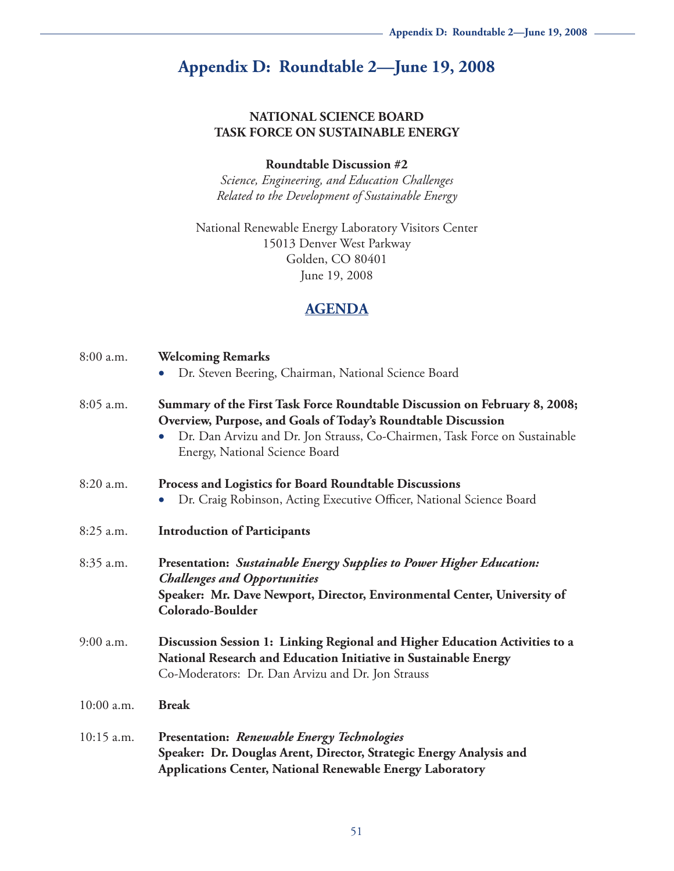# **Appendix D: Roundtable 2—June 19, 2008**

#### **NATIONAL SCIENCE BOARD TASK FORCE ON SUSTAINABLE ENERGY**

#### **Roundtable Discussion #2**

*Science, Engineering, and Education Challenges Related to the Development of Sustainable Energy*

National Renewable Energy Laboratory Visitors Center 15013 Denver West Parkway Golden, CO 80401 June 19, 2008

### **AGENDA**

| 8:00 a.m.    | <b>Welcoming Remarks</b><br>Dr. Steven Beering, Chairman, National Science Board<br>$\bullet$                                                                                                                                                               |  |
|--------------|-------------------------------------------------------------------------------------------------------------------------------------------------------------------------------------------------------------------------------------------------------------|--|
| $8:05$ a.m.  | Summary of the First Task Force Roundtable Discussion on February 8, 2008;<br>Overview, Purpose, and Goals of Today's Roundtable Discussion<br>Dr. Dan Arvizu and Dr. Jon Strauss, Co-Chairmen, Task Force on Sustainable<br>Energy, National Science Board |  |
| 8:20 a.m.    | <b>Process and Logistics for Board Roundtable Discussions</b><br>Dr. Craig Robinson, Acting Executive Officer, National Science Board<br>$\bullet$                                                                                                          |  |
| 8:25 a.m.    | <b>Introduction of Participants</b>                                                                                                                                                                                                                         |  |
| 8:35 a.m.    | <b>Presentation: Sustainable Energy Supplies to Power Higher Education:</b><br><b>Challenges and Opportunities</b><br>Speaker: Mr. Dave Newport, Director, Environmental Center, University of<br>Colorado-Boulder                                          |  |
| $9:00$ a.m.  | Discussion Session 1: Linking Regional and Higher Education Activities to a<br>National Research and Education Initiative in Sustainable Energy<br>Co-Moderators: Dr. Dan Arvizu and Dr. Jon Strauss                                                        |  |
| 10:00 a.m.   | <b>Break</b>                                                                                                                                                                                                                                                |  |
| $10:15$ a.m. | <b>Presentation: Renewable Energy Technologies</b><br>Speaker: Dr. Douglas Arent, Director, Strategic Energy Analysis and<br><b>Applications Center, National Renewable Energy Laboratory</b>                                                               |  |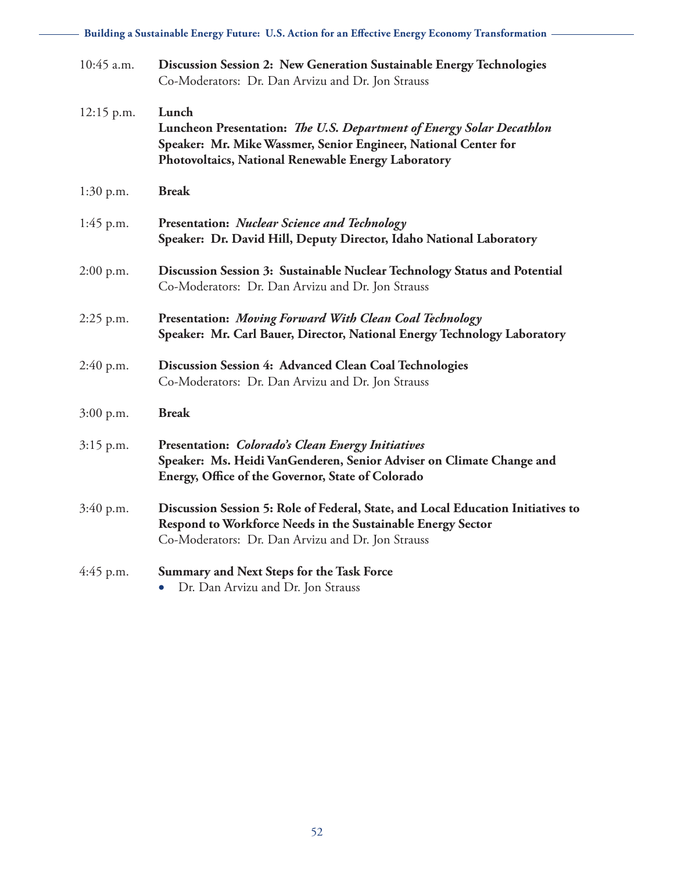| 10:45 a.m.   | Discussion Session 2: New Generation Sustainable Energy Technologies<br>Co-Moderators: Dr. Dan Arvizu and Dr. Jon Strauss                                                                               |
|--------------|---------------------------------------------------------------------------------------------------------------------------------------------------------------------------------------------------------|
| $12:15$ p.m. | Lunch<br>Luncheon Presentation: The U.S. Department of Energy Solar Decathlon<br>Speaker: Mr. Mike Wassmer, Senior Engineer, National Center for<br>Photovoltaics, National Renewable Energy Laboratory |
| 1:30 p.m.    | <b>Break</b>                                                                                                                                                                                            |
| $1:45$ p.m.  | <b>Presentation: Nuclear Science and Technology</b><br>Speaker: Dr. David Hill, Deputy Director, Idaho National Laboratory                                                                              |
| $2:00$ p.m.  | Discussion Session 3: Sustainable Nuclear Technology Status and Potential<br>Co-Moderators: Dr. Dan Arvizu and Dr. Jon Strauss                                                                          |
| 2:25 p.m.    | <b>Presentation: Moving Forward With Clean Coal Technology</b><br>Speaker: Mr. Carl Bauer, Director, National Energy Technology Laboratory                                                              |
| $2:40$ p.m.  | Discussion Session 4: Advanced Clean Coal Technologies<br>Co-Moderators: Dr. Dan Arvizu and Dr. Jon Strauss                                                                                             |
| $3:00$ p.m.  | <b>Break</b>                                                                                                                                                                                            |
| $3:15$ p.m.  | Presentation: Colorado's Clean Energy Initiatives<br>Speaker: Ms. Heidi VanGenderen, Senior Adviser on Climate Change and<br>Energy, Office of the Governor, State of Colorado                          |
| 3:40 p.m.    | Discussion Session 5: Role of Federal, State, and Local Education Initiatives to<br>Respond to Workforce Needs in the Sustainable Energy Sector<br>Co-Moderators: Dr. Dan Arvizu and Dr. Jon Strauss    |
| $4:45$ p.m.  | <b>Summary and Next Steps for the Task Force</b><br>Dr. Dan Arvizu and Dr. Jon Strauss<br>$\bullet$                                                                                                     |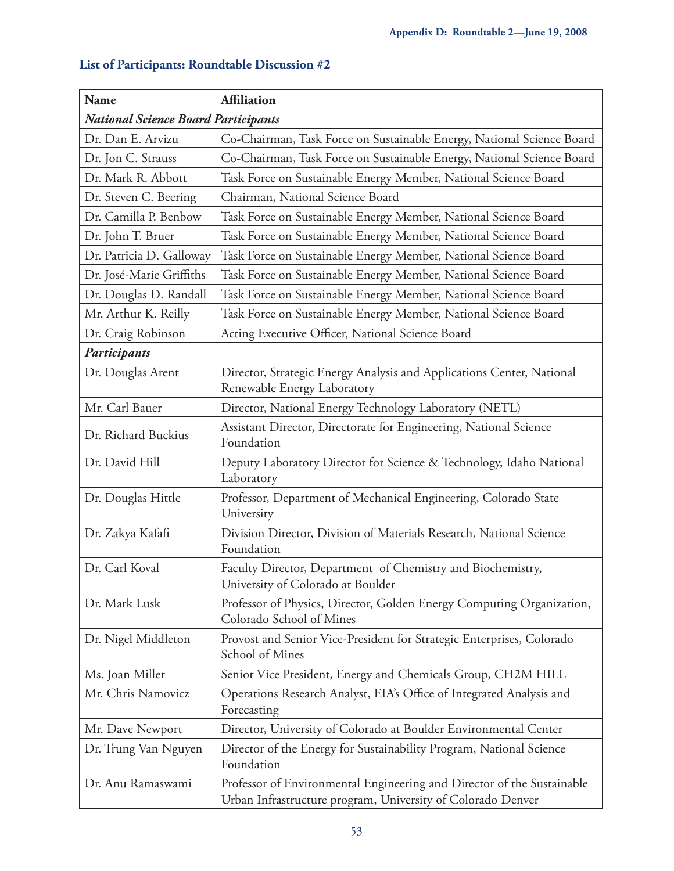| <b>Name</b>                                | <b>Affiliation</b>                                                                                                                    |  |  |  |
|--------------------------------------------|---------------------------------------------------------------------------------------------------------------------------------------|--|--|--|
| <b>National Science Board Participants</b> |                                                                                                                                       |  |  |  |
| Dr. Dan E. Arvizu                          | Co-Chairman, Task Force on Sustainable Energy, National Science Board                                                                 |  |  |  |
| Dr. Jon C. Strauss                         | Co-Chairman, Task Force on Sustainable Energy, National Science Board                                                                 |  |  |  |
| Dr. Mark R. Abbott                         | Task Force on Sustainable Energy Member, National Science Board                                                                       |  |  |  |
| Dr. Steven C. Beering                      | Chairman, National Science Board                                                                                                      |  |  |  |
| Dr. Camilla P. Benbow                      | Task Force on Sustainable Energy Member, National Science Board                                                                       |  |  |  |
| Dr. John T. Bruer                          | Task Force on Sustainable Energy Member, National Science Board                                                                       |  |  |  |
| Dr. Patricia D. Galloway                   | Task Force on Sustainable Energy Member, National Science Board                                                                       |  |  |  |
| Dr. José-Marie Griffiths                   | Task Force on Sustainable Energy Member, National Science Board                                                                       |  |  |  |
| Dr. Douglas D. Randall                     | Task Force on Sustainable Energy Member, National Science Board                                                                       |  |  |  |
| Mr. Arthur K. Reilly                       | Task Force on Sustainable Energy Member, National Science Board                                                                       |  |  |  |
| Dr. Craig Robinson                         | Acting Executive Officer, National Science Board                                                                                      |  |  |  |
| Participants                               |                                                                                                                                       |  |  |  |
| Dr. Douglas Arent                          | Director, Strategic Energy Analysis and Applications Center, National<br>Renewable Energy Laboratory                                  |  |  |  |
| Mr. Carl Bauer                             | Director, National Energy Technology Laboratory (NETL)                                                                                |  |  |  |
| Dr. Richard Buckius                        | Assistant Director, Directorate for Engineering, National Science<br>Foundation                                                       |  |  |  |
| Dr. David Hill                             | Deputy Laboratory Director for Science & Technology, Idaho National<br>Laboratory                                                     |  |  |  |
| Dr. Douglas Hittle                         | Professor, Department of Mechanical Engineering, Colorado State<br>University                                                         |  |  |  |
| Dr. Zakya Kafafi                           | Division Director, Division of Materials Research, National Science<br>Foundation                                                     |  |  |  |
| Dr. Carl Koval                             | Faculty Director, Department of Chemistry and Biochemistry,<br>University of Colorado at Boulder                                      |  |  |  |
| Dr. Mark Lusk                              | Professor of Physics, Director, Golden Energy Computing Organization,<br>Colorado School of Mines                                     |  |  |  |
| Dr. Nigel Middleton                        | Provost and Senior Vice-President for Strategic Enterprises, Colorado<br>School of Mines                                              |  |  |  |
| Ms. Joan Miller                            | Senior Vice President, Energy and Chemicals Group, CH2M HILL                                                                          |  |  |  |
| Mr. Chris Namovicz                         | Operations Research Analyst, EIA's Office of Integrated Analysis and<br>Forecasting                                                   |  |  |  |
| Mr. Dave Newport                           | Director, University of Colorado at Boulder Environmental Center                                                                      |  |  |  |
| Dr. Trung Van Nguyen                       | Director of the Energy for Sustainability Program, National Science<br>Foundation                                                     |  |  |  |
| Dr. Anu Ramaswami                          | Professor of Environmental Engineering and Director of the Sustainable<br>Urban Infrastructure program, University of Colorado Denver |  |  |  |

## **List of Participants: Roundtable Discussion #2**